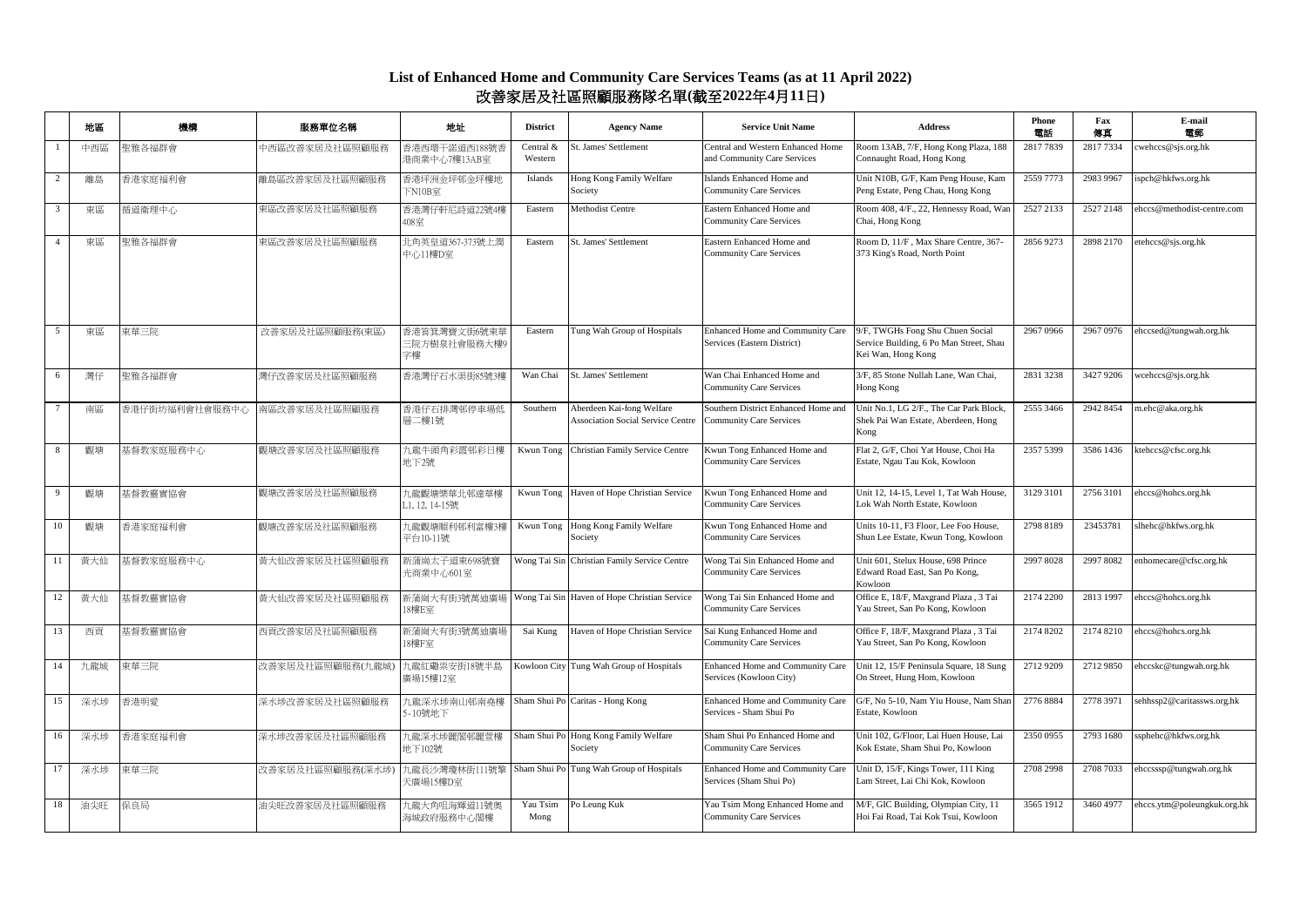## **List of Enhanced Home and Community Care Services Teams (as at 11 April 2022)** 改善家居及社區照顧服務隊名單**(**截至**2022**年**4**月**11**日**)**

|                | 地區  | 機構             | 服務單位名稱           | 地址                                 | <b>District</b>      | <b>Agency Name</b>                                                    | <b>Service Unit Name</b>                                              | <b>Address</b>                                                                                    | Phone<br>雷訴 | Fax<br>傳真 | E-mail<br>電郵                     |
|----------------|-----|----------------|------------------|------------------------------------|----------------------|-----------------------------------------------------------------------|-----------------------------------------------------------------------|---------------------------------------------------------------------------------------------------|-------------|-----------|----------------------------------|
|                | 中西區 | 聖雅各福群會         | 中西區改善家居及社區照顧服務   | 香港西環干諾道西188號<br>巷商業中心7樓13AB室       | Central &<br>Western | St. James' Settlement                                                 | Central and Western Enhanced Home<br>and Community Care Services      | Room 13AB, 7/F, Hong Kong Plaza, 188<br>Connaught Road, Hong Kong                                 | 2817 7839   | 2817 7334 | $c$ wehccs@sjs.org.hk            |
|                | 離島  | 香港家庭福利會        | 離島區改善家居及社區照顧服務   | 香港坪洲金坪邨金坪樓地<br>下N10B室              | Islands              | Hong Kong Family Welfare<br>Society                                   | Islands Enhanced Home and<br><b>Community Care Services</b>           | Unit N10B, G/F, Kam Peng House, Kam<br>Peng Estate, Peng Chau, Hong Kong                          | 2559 7773   | 2983 9967 | ispch@hkfws.org.hk               |
|                | 東區  | 循道衛理中心         | 東區改善家居及社區照顧服務    | 香港灣仔軒尼詩道22號4樓<br>408室              | Eastern              | Methodist Centre                                                      | Eastern Enhanced Home and<br><b>Community Care Services</b>           | Room 408, 4/F., 22, Hennessy Road, War<br>Chai, Hong Kong                                         | 2527 2133   | 2527 2148 | ehccs@methodist-centre.com       |
| $\overline{4}$ | 東區  | 聖雅各福群會         | 東區改善家居及社區照顧服務    | 北角英皇道367-373號上潤<br>中心11樓D室         | Eastern              | St. James' Settlement                                                 | Eastern Enhanced Home and<br><b>Community Care Services</b>           | Room D, 11/F, Max Share Centre, 367-<br>373 King's Road, North Point                              | 2856 9273   | 2898 2170 | etehccs@sjs.org.hk               |
| 5              | 東區  | 東華三院           | 改善家居及社區照顧服務(東區)  | 香港筲箕灣寶文街6號東華<br>三院方樹泉社會服務大樓9<br>字樓 | Eastern              | Tung Wah Group of Hospitals                                           | Enhanced Home and Community Care<br>Services (Eastern District)       | 9/F, TWGHs Fong Shu Chuen Social<br>Service Building, 6 Po Man Street, Shau<br>Kei Wan, Hong Kong | 2967 0966   |           | 2967 0976 ehccsed@tungwah.org.hk |
| 6              | 灣仔  | 聖雅各福群會         | 灣仔改善家居及社區照顧服務    | 香港灣仔石水渠街85號3梅                      | Wan Chai             | St. James' Settlement                                                 | Wan Chai Enhanced Home and<br><b>Community Care Services</b>          | 3/F, 85 Stone Nullah Lane, Wan Chai,<br>Hong Kong                                                 | 2831 3238   | 3427 9206 | weehees@sjs.org.hk               |
| $\overline{7}$ | 南區  | 香港仔街坊福利會社會服務中心 | 南區改善家居及社區照顧服務    | 香港仔石排灣邨停車場低<br>層二樓1號               | Southern             | Aberdeen Kai-fong Welfare<br><b>Association Social Service Centre</b> | Southern District Enhanced Home and<br><b>Community Care Services</b> | Unit No.1, LG 2/F., The Car Park Block,<br>Shek Pai Wan Estate, Aberdeen, Hong<br>Kong            | 2555 3466   | 2942 8454 | m.ehc@aka.org.hk                 |
|                | 觀塘  | 基督教家庭服務中心      | 觀塘改善家居及社區照顧服務    | 九龍牛頭角彩霞邨彩日樓<br>地下2號                | Kwun Tong            | Christian Family Service Centre                                       | Kwun Tong Enhanced Home and<br><b>Community Care Services</b>         | Flat 2, G/F, Choi Yat House, Choi Ha<br>Estate, Ngau Tau Kok, Kowloon                             | 2357 5399   | 3586 1436 | ktehccs@cfsc.org.hk              |
| 9              | 觀塘  | 基督教靈實協會        | 觀塘改善家居及社區照顧服務    | 九龍觀塘樂華北邨達華樓<br>L1, 12, 14-15號      | Kwun Tong            | Haven of Hope Christian Service                                       | Kwun Tong Enhanced Home and<br><b>Community Care Services</b>         | Unit 12, 14-15, Level 1, Tat Wah House,<br>Lok Wah North Estate, Kowloon                          | 3129 3101   | 2756 3101 | ehccs@hohcs.org.hk               |
| 10             | 觀塘  | 香港家庭福利會        | 觀塘改善家居及社區照顧服務    | 九龍觀塘順利邨利富樓3樓<br>平台10-11號           | Kwun Tong            | Hong Kong Family Welfare<br>Society                                   | Kwun Tong Enhanced Home and<br><b>Community Care Services</b>         | Units 10-11, F3 Floor, Lee Foo House,<br>Shun Lee Estate, Kwun Tong, Kowloon                      | 2798 8189   | 23453781  | slhehc@hkfws.org.hk              |
| -11            | 黃大仙 | 基督教家庭服務中心      | 黃大仙改善家居及社區照顧服務   | 新蒲崗太子道東698號寶<br>光商業中心601室          |                      | Wong Tai Sin Christian Family Service Centre                          | Wong Tai Sin Enhanced Home and<br><b>Community Care Services</b>      | Unit 601, Stelux House, 698 Prince<br>Edward Road East, San Po Kong,<br>Kowloon                   | 2997 8028   | 2997 8082 | enhomecare@cfsc.org.hk           |
| 12             | 黃大仙 | 基督教靈實協會        | 黃大仙改善家居及社區照顧服務   | 新蒲崗大有街3號萬迪廣場<br>18樓E室              |                      | Wong Tai Sin Haven of Hope Christian Service                          | Wong Tai Sin Enhanced Home and<br><b>Community Care Services</b>      | Office E, 18/F, Maxgrand Plaza, 3 Tai<br>Yau Street, San Po Kong, Kowloon                         | 2174 2200   | 2813 1997 | ehccs@hohcs.org.hk               |
| 13             | 西貢  | 基督教靈實協會        | 西貢改善家居及社區照顧服務    | 新蒲崗大有街3號萬迪廣場<br>18樓F室              | Sai Kung             | Haven of Hope Christian Service                                       | Sai Kung Enhanced Home and<br><b>Community Care Services</b>          | Office F, 18/F, Maxgrand Plaza, 3 Tai<br>Yau Street, San Po Kong, Kowloon                         | 2174 8202   |           | 2174 8210 ehccs@hohcs.org.hk     |
| 14             | 九龍城 | 東華三院           | 改善家居及社區照顧服務(九龍城) | 九龍紅磡祟安街18號半島<br><b>鼾場15樓12室</b>    |                      | Kowloon City Tung Wah Group of Hospitals                              | Enhanced Home and Community Care<br>Services (Kowloon City)           | Unit 12, 15/F Peninsula Square, 18 Sung<br>On Street, Hung Hom, Kowloon                           | 2712 9209   | 2712 9850 | ehccskc@tungwah.org.hk           |
| 15             | 深水埗 | 香港明愛           | 深水埗改善家居及社區照顧服務   | 九龍深水埗南山邨南堯樓<br>5-10號地下             |                      | Sham Shui Po Caritas - Hong Kong                                      | Enhanced Home and Community Care<br>Services - Sham Shui Po           | G/F, No 5-10, Nam Yiu House, Nam Shar<br>Estate, Kowloon                                          | 2776 8884   | 2778 3971 | sehhssp2@caritassws.org.hk       |
| 16             | 深水埗 | 香港家庭福利會        | 深水埗改善家居及社區照顧服務   | 九龍深水埗麗閣邨麗萱樓<br>地下102號              |                      | Sham Shui Po Hong Kong Family Welfare<br>Society                      | Sham Shui Po Enhanced Home and<br><b>Community Care Services</b>      | Unit 102, G/Floor, Lai Huen House, Lai<br>Kok Estate, Sham Shui Po, Kowloon                       | 2350 0955   | 2793 1680 | ssphehc@hkfws.org.hk             |
| 17             | 深水埗 | 東華三院           | 改善家居及社區照顧服務(深水埗  | 九龍長沙灣瓊林街111號擎<br>天廣場15樓D室          |                      | Sham Shui Po Tung Wah Group of Hospitals                              | Enhanced Home and Community Care<br>Services (Sham Shui Po)           | Unit D, 15/F, Kings Tower, 111 King<br>Lam Street, Lai Chi Kok, Kowloon                           | 2708 2998   | 2708 7033 | ehccsssp@tungwah.org.hk          |
| 18             | 油尖旺 | 保良局            | 油尖旺改善家居及社區照顧服務   | 九龍大角咀海輝道11號奧<br>每城政府服務中心閣樓         | Yau Tsim<br>Mong     | Po Leung Kuk                                                          | Yau Tsim Mong Enhanced Home and<br><b>Community Care Services</b>     | M/F, GIC Building, Olympian City, 11<br>Hoi Fai Road, Tai Kok Tsui, Kowloon                       | 3565 1912   | 3460 4977 | ehccs.ytm@poleungkuk.org.hk      |